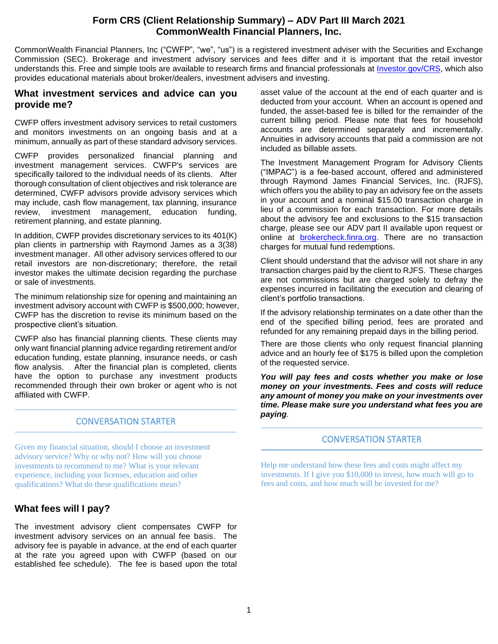## **Form CRS (Client Relationship Summary) – ADV Part III March 2021 CommonWealth Financial Planners, Inc.**

CommonWealth Financial Planners, Inc ("CWFP", "we", "us") is a registered investment adviser with the Securities and Exchange Commission (SEC). Brokerage and investment advisory services and fees differ and it is important that the retail investor understands this. Free and simple tools are available to research firms and financial professionals at [Investor.gov/CRS,](https://www.investor.gov/CRS) which also provides educational materials about broker/dealers, investment advisers and investing.

### **What investment services and advice can you provide me?**

CWFP offers investment advisory services to retail customers and monitors investments on an ongoing basis and at a minimum, annually as part of these standard advisory services.

CWFP provides personalized financial planning and investment management services. CWFP's services are specifically tailored to the individual needs of its clients. After thorough consultation of client objectives and risk tolerance are determined, CWFP advisors provide advisory services which may include, cash flow management, tax planning, insurance review, investment management, education funding, retirement planning, and estate planning.

In addition, CWFP provides discretionary services to its 401(K) plan clients in partnership with Raymond James as a 3(38) investment manager. All other advisory services offered to our retail investors are non-discretionary; therefore, the retail investor makes the ultimate decision regarding the purchase or sale of investments.

The minimum relationship size for opening and maintaining an investment advisory account with CWFP is \$500,000; however, CWFP has the discretion to revise its minimum based on the prospective client's situation.

CWFP also has financial planning clients. These clients may only want financial planning advice regarding retirement and/or education funding, estate planning, insurance needs, or cash flow analysis. After the financial plan is completed, clients have the option to purchase any investment products recommended through their own broker or agent who is not affiliated with CWFP.

### CONVERSATION STARTER

Given my financial situation, should I choose an investment advisory service? Why or why not? How will you choose investments to recommend to me? What is your relevant experience, including your licenses, education and other qualifications? What do these qualifications mean?

# **What fees will I pay?**

The investment advisory client compensates CWFP for investment advisory services on an annual fee basis. The advisory fee is payable in advance, at the end of each quarter at the rate you agreed upon with CWFP (based on our established fee schedule). The fee is based upon the total

asset value of the account at the end of each quarter and is deducted from your account. When an account is opened and funded, the asset-based fee is billed for the remainder of the current billing period. Please note that fees for household accounts are determined separately and incrementally. Annuities in advisory accounts that paid a commission are not included as billable assets.

The Investment Management Program for Advisory Clients ("IMPAC") is a fee-based account, offered and administered through Raymond James Financial Services, Inc. (RJFS), which offers you the ability to pay an advisory fee on the assets in your account and a nominal \$15.00 transaction charge in lieu of a commission for each transaction. For more details about the advisory fee and exclusions to the \$15 transaction charge, please see our ADV part II available upon request or online at **brokercheck.finra.org**. There are no transaction charges for mutual fund redemptions.

Client should understand that the advisor will not share in any transaction charges paid by the client to RJFS. These charges are not commissions but are charged solely to defray the expenses incurred in facilitating the execution and clearing of client's portfolio transactions.

If the advisory relationship terminates on a date other than the end of the specified billing period, fees are prorated and refunded for any remaining prepaid days in the billing period.

There are those clients who only request financial planning advice and an hourly fee of \$175 is billed upon the completion of the requested service.

*You will pay fees and costs whether you make or lose money on your investments. Fees and costs will reduce any amount of money you make on your investments over time. Please make sure you understand what fees you are paying.*

### CONVERSATION STARTER

Help me understand how these fees and costs might affect my investments. If I give you \$10,000 to invest, how much will go to fees and costs, and how much will be invested for me?